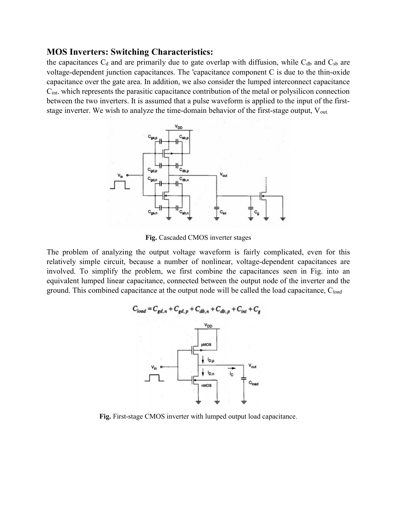## MOS Inverters: Switching Characteristics:

the capacitances  $C_d$  and are primarily due to gate overlap with diffusion, while  $C_{db}$  and  $C_{sb}$  are voltage-dependent junction capacitances. The 'capacitance component C is due to the thin-oxide capacitance over the gate area. In addition, we also consider the lumped interconnect capacitance Cint. which represents the parasitic capacitance contribution of the metal or polysilicon connection between the two inverters. It is assumed that a pulse waveform is applied to the input of the firststage inverter. We wish to analyze the time-domain behavior of the first-stage output,  $V_{\text{out}}$ .



Fig. Cascaded CMOS inverter stages

The problem of analyzing the output voltage waveform is fairly complicated, even for this relatively simple circuit, because a number of nonlinear, voltage-dependent capacitances are involved. To simplify the problem, we first combine the capacitances seen in Fig. into an equivalent lumped linear capacitance, connected between the output node of the inverter and the ground. This combined capacitance at the output node will be called the load capacitance,  $C_{load}$ 



Fig. First-stage CMOS inverter with lumped output load capacitance.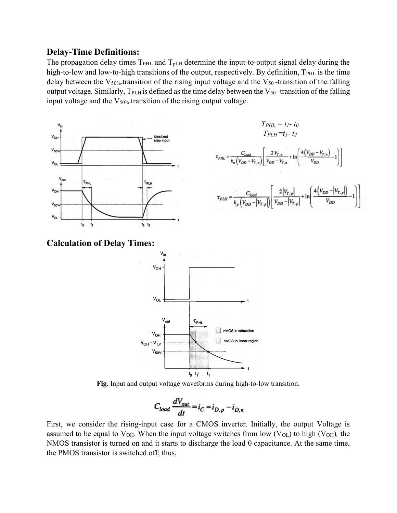## Delay-Time Definitions:

The propagation delay times  $T_{\text{PHL}}$  and  $T_{\text{pLH}}$  determine the input-to-output signal delay during the high-to-low and low-to-high transitions of the output, respectively. By definition,  $T_{\text{PHL}}$  is the time delay between the  $V_{50\%}$ -transition of the rising input voltage and the  $V_{50}$ -transition of the falling output voltage. Similarly,  $T_{PLH}$  is defined as the time delay between the  $V_{50}$ -transition of the falling input voltage and the  $V_{50\%}$ -transition of the rising output voltage.





Calculation of Delay Times:



Fig. Input and output voltage waveforms during high-to-low transition.

$$
C_{load} \frac{dV_{out}}{dt} = i_C = i_{D,p} - i_{D,n}
$$

First, we consider the rising-input case for a CMOS inverter. Initially, the output Voltage is assumed to be equal to  $V_{OH}$ . When the input voltage switches from low ( $V_{OL}$ ) to high ( $V_{OH}$ ), the NMOS transistor is turned on and it starts to discharge the load 0 capacitance. At the same time, the PMOS transistor is switched off; thus,